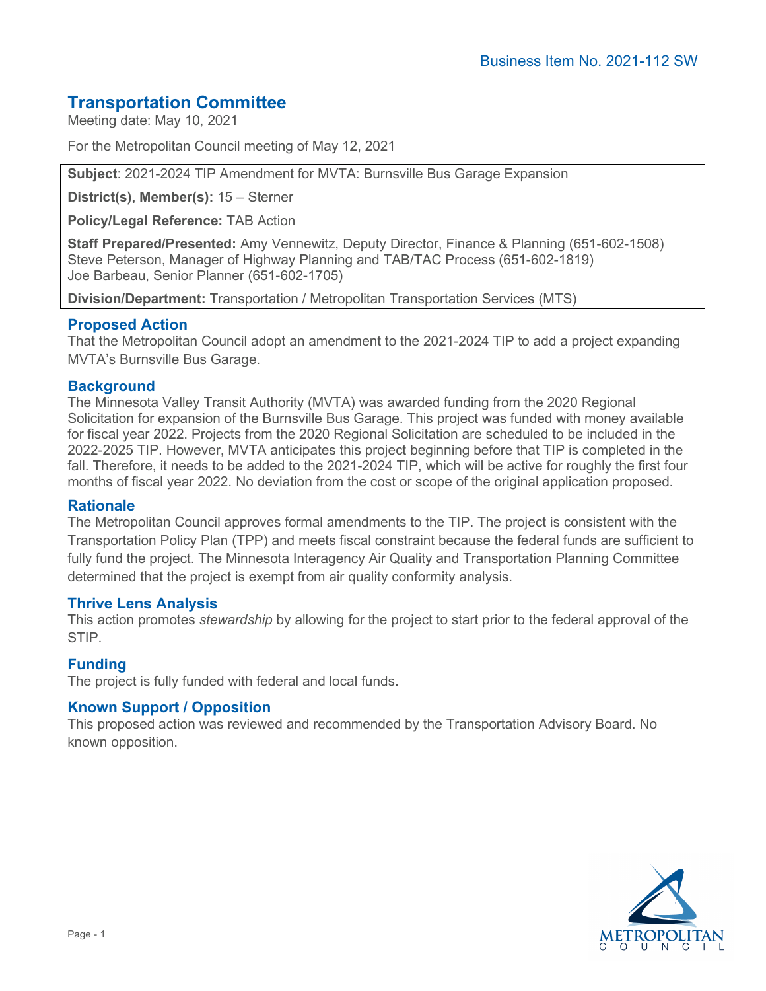# **Transportation Committee**

Meeting date: May 10, 2021

For the Metropolitan Council meeting of May 12, 2021

**Subject**: 2021-2024 TIP Amendment for MVTA: Burnsville Bus Garage Expansion

**District(s), Member(s):** 15 – Sterner

**Policy/Legal Reference:** TAB Action

**Staff Prepared/Presented:** Amy Vennewitz, Deputy Director, Finance & Planning (651-602-1508) Steve Peterson, Manager of Highway Planning and TAB/TAC Process (651-602-1819) Joe Barbeau, Senior Planner (651-602-1705)

**Division/Department:** Transportation / Metropolitan Transportation Services (MTS)

## **Proposed Action**

That the Metropolitan Council adopt an amendment to the 2021-2024 TIP to add a project expanding MVTA's Burnsville Bus Garage.

## **Background**

The Minnesota Valley Transit Authority (MVTA) was awarded funding from the 2020 Regional Solicitation for expansion of the Burnsville Bus Garage. This project was funded with money available for fiscal year 2022. Projects from the 2020 Regional Solicitation are scheduled to be included in the 2022-2025 TIP. However, MVTA anticipates this project beginning before that TIP is completed in the fall. Therefore, it needs to be added to the 2021-2024 TIP, which will be active for roughly the first four months of fiscal year 2022. No deviation from the cost or scope of the original application proposed.

#### **Rationale**

The Metropolitan Council approves formal amendments to the TIP. The project is consistent with the Transportation Policy Plan (TPP) and meets fiscal constraint because the federal funds are sufficient to fully fund the project. The Minnesota Interagency Air Quality and Transportation Planning Committee determined that the project is exempt from air quality conformity analysis.

#### **Thrive Lens Analysis**

This action promotes *stewardship* by allowing for the project to start prior to the federal approval of the STIP.

#### **Funding**

The project is fully funded with federal and local funds.

#### **Known Support / Opposition**

This proposed action was reviewed and recommended by the Transportation Advisory Board. No known opposition.